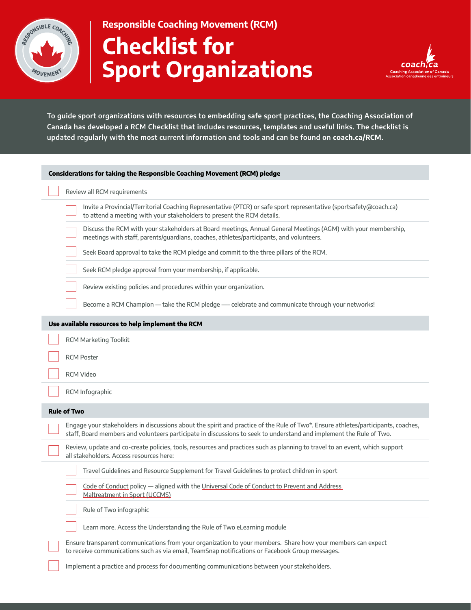

**Responsible Coaching Movement (RCM) Checklist for Sport Organizations**



**To guide sport organizations with resources to embedding safe sport practices, the Coaching Association of Canada has developed a RCM Checklist that includes resources, templates and useful links. The checklist is updated regularly with the most current information and tools and can be found on coach.ca/RCM.**

| Considerations for taking the Responsible Coaching Movement (RCM) pledge                                                                                                                                                                                 |
|----------------------------------------------------------------------------------------------------------------------------------------------------------------------------------------------------------------------------------------------------------|
| Review all RCM requirements                                                                                                                                                                                                                              |
| Invite a Provincial/Territorial Coaching Representative (PTCR) or safe sport representative (sportsafety@coach.ca)<br>to attend a meeting with your stakeholders to present the RCM details.                                                             |
| Discuss the RCM with your stakeholders at Board meetings, Annual General Meetings (AGM) with your membership,<br>meetings with staff, parents/guardians, coaches, athletes/participants, and volunteers.                                                 |
| Seek Board approval to take the RCM pledge and commit to the three pillars of the RCM.                                                                                                                                                                   |
| Seek RCM pledge approval from your membership, if applicable.                                                                                                                                                                                            |
| Review existing policies and procedures within your organization.                                                                                                                                                                                        |
| Become a RCM Champion - take the RCM pledge - celebrate and communicate through your networks!                                                                                                                                                           |
| Use available resources to help implement the RCM                                                                                                                                                                                                        |
| <b>RCM Marketing Toolkit</b>                                                                                                                                                                                                                             |
| <b>RCM Poster</b>                                                                                                                                                                                                                                        |
| <b>RCM Video</b>                                                                                                                                                                                                                                         |
| RCM Infographic                                                                                                                                                                                                                                          |
| <b>Rule of Two</b>                                                                                                                                                                                                                                       |
| Engage your stakeholders in discussions about the spirit and practice of the Rule of Two*. Ensure athletes/participants, coaches,<br>staff, Board members and volunteers participate in discussions to seek to understand and implement the Rule of Two. |
| Review, update and co-create policies, tools, resources and practices such as planning to travel to an event, which support<br>all stakeholders. Access resources here:                                                                                  |
| Travel Guidelines and Resource Supplement for Travel Guidelines to protect children in sport                                                                                                                                                             |
| Code of Conduct policy - aligned with the Universal Code of Conduct to Prevent and Address<br>Maltreatment in Sport (UCCMS)                                                                                                                              |
| Rule of Two infographic                                                                                                                                                                                                                                  |
| Learn more. Access the Understanding the Rule of Two eLearning module                                                                                                                                                                                    |
| Ensure transparent communications from your organization to your members. Share how your members can expect<br>to receive communications such as via email, TeamSnap notifications or Facebook Group messages.                                           |
| Implement a practice and process for documenting communications between your stakeholders.                                                                                                                                                               |